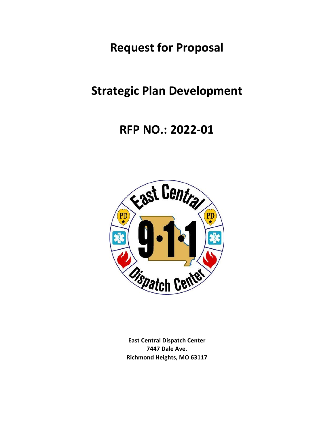**Request for Proposal**

# **Strategic Plan Development**

# **RFP NO.: 2022-01**



**East Central Dispatch Center 7447 Dale Ave. Richmond Heights, MO 63117**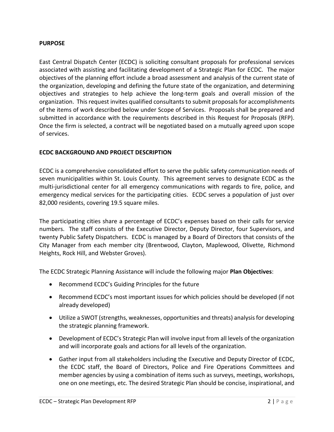### **PURPOSE**

East Central Dispatch Center (ECDC) is soliciting consultant proposals for professional services associated with assisting and facilitating development of a Strategic Plan for ECDC. The major objectives of the planning effort include a broad assessment and analysis of the current state of the organization, developing and defining the future state of the organization, and determining objectives and strategies to help achieve the long-term goals and overall mission of the organization. This request invites qualified consultants to submit proposals for accomplishments of the items of work described below under Scope of Services. Proposals shall be prepared and submitted in accordance with the requirements described in this Request for Proposals (RFP). Once the firm is selected, a contract will be negotiated based on a mutually agreed upon scope of services.

### **ECDC BACKGROUND AND PROJECT DESCRIPTION**

ECDC is a comprehensive consolidated effort to serve the public safety communication needs of seven municipalities within St. Louis County. This agreement serves to designate ECDC as the multi-jurisdictional center for all emergency communications with regards to fire, police, and emergency medical services for the participating cities. ECDC serves a population of just over 82,000 residents, covering 19.5 square miles.

The participating cities share a percentage of ECDC's expenses based on their calls for service numbers. The staff consists of the Executive Director, Deputy Director, four Supervisors, and twenty Public Safety Dispatchers. ECDC is managed by a Board of Directors that consists of the City Manager from each member city (Brentwood, Clayton, Maplewood, Olivette, Richmond Heights, Rock Hill, and Webster Groves).

The ECDC Strategic Planning Assistance will include the following major **Plan Objectives**:

- Recommend ECDC's Guiding Principles for the future
- Recommend ECDC's most important issues for which policies should be developed (if not already developed)
- Utilize a SWOT (strengths, weaknesses, opportunities and threats) analysis for developing the strategic planning framework.
- Development of ECDC's Strategic Plan will involve input from all levels of the organization and will incorporate goals and actions for all levels of the organization.
- Gather input from all stakeholders including the Executive and Deputy Director of ECDC, the ECDC staff, the Board of Directors, Police and Fire Operations Committees and member agencies by using a combination of items such as surveys, meetings, workshops, one on one meetings, etc. The desired Strategic Plan should be concise, inspirational, and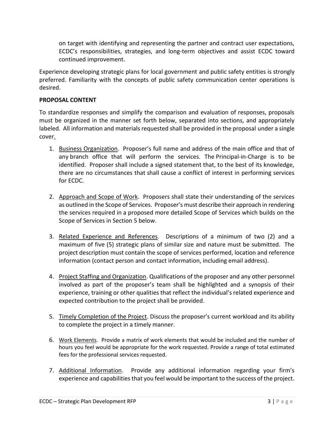on target with identifying and representing the partner and contract user expectations, ECDC's responsibilities, strategies, and long-term objectives and assist ECDC toward continued improvement.

Experience developing strategic plans for local government and public safety entities is strongly preferred. Familiarity with the concepts of public safety communication center operations is desired.

# **PROPOSAL CONTENT**

To standardize responses and simplify the comparison and evaluation of responses, proposals must be organized in the manner set forth below, separated into sections, and appropriately labeled. All information and materials requested shall be provided in the proposal under a single cover.

- 1. Business Organization. Proposer's full name and address of the main office and that of any branch office that will perform the services. The Principal-in-Charge is to be identified. Proposer shall include a signed statement that, to the best of its knowledge, there are no circumstances that shall cause a conflict of interest in performing services for ECDC.
- 2. Approach and Scope of Work. Proposers shall state their understanding of the services as outlined in the Scope of Services. Proposer's must describe their approach in rendering the services required in a proposed more detailed Scope of Services which builds on the Scope of Services in Section 5 below.
- 3. Related Experience and References. Descriptions of a minimum of two (2) and a maximum of five (5) strategic plans of similar size and nature must be submitted. The project description must contain the scope of services performed, location and reference information (contact person and contact information, including email address).
- 4. Project Staffing and Organization. Qualifications of the proposer and any other personnel involved as part of the proposer's team shall be highlighted and a synopsis of their experience, training or other qualities that reflect the individual's related experience and expected contribution to the project shall be provided.
- 5. Timely Completion of the Project. Discuss the proposer's current workload and its ability to complete the project in a timely manner.
- 6. Work Elements. Provide a matrix of work elements that would be included and the number of hours you feel would be appropriate for the work requested. Provide a range of total estimated fees for the professional services requested.
- 7. Additional Information. Provide any additional information regarding your firm's experience and capabilities that you feel would be important to the success of the project.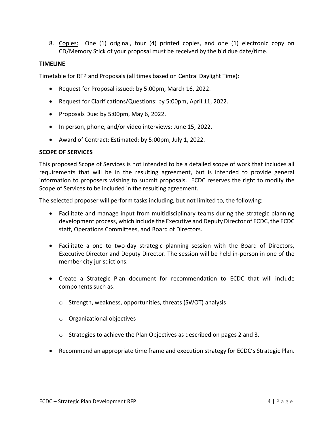8. Copies: One (1) original, four (4) printed copies, and one (1) electronic copy on CD/Memory Stick of your proposal must be received by the bid due date/time.

#### **TIMELINE**

Timetable for RFP and Proposals (all times based on Central Daylight Time):

- Request for Proposal issued: by 5:00pm, March 16, 2022.
- Request for Clarifications/Questions: by 5:00pm, April 11, 2022.
- Proposals Due: by 5:00pm, May 6, 2022.
- In person, phone, and/or video interviews: June 15, 2022.
- Award of Contract: Estimated: by 5:00pm, July 1, 2022.

### **SCOPE OF SERVICES**

This proposed Scope of Services is not intended to be a detailed scope of work that includes all requirements that will be in the resulting agreement, but is intended to provide general information to proposers wishing to submit proposals. ECDC reserves the right to modify the Scope of Services to be included in the resulting agreement.

The selected proposer will perform tasks including, but not limited to, the following:

- Facilitate and manage input from multidisciplinary teams during the strategic planning development process, which include the Executive and Deputy Director of ECDC, the ECDC staff, Operations Committees, and Board of Directors.
- Facilitate a one to two-day strategic planning session with the Board of Directors, Executive Director and Deputy Director. The session will be held in-person in one of the member city jurisdictions.
- Create a Strategic Plan document for recommendation to ECDC that will include components such as:
	- o Strength, weakness, opportunities, threats (SWOT) analysis
	- o Organizational objectives
	- o Strategies to achieve the Plan Objectives as described on pages 2 and 3.
- Recommend an appropriate time frame and execution strategy for ECDC's Strategic Plan.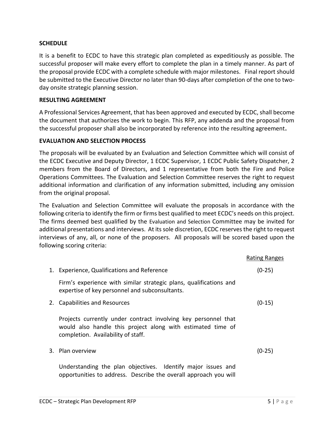### **SCHEDULE**

It is a benefit to ECDC to have this strategic plan completed as expeditiously as possible. The successful proposer will make every effort to complete the plan in a timely manner. As part of the proposal provide ECDC with a complete schedule with major milestones. Final report should be submitted to the Executive Director no later than 90-days after completion of the one to twoday onsite strategic planning session.

#### **RESULTING AGREEMENT**

A Professional Services Agreement, that has been approved and executed by ECDC, shall become the document that authorizes the work to begin. This RFP, any addenda and the proposal from the successful proposer shall also be incorporated by reference into the resulting agreement**.** 

#### **EVALUATION AND SELECTION PROCESS**

The proposals will be evaluated by an Evaluation and Selection Committee which will consist of the ECDC Executive and Deputy Director, 1 ECDC Supervisor, 1 ECDC Public Safety Dispatcher, 2 members from the Board of Directors, and 1 representative from both the Fire and Police Operations Committees. The Evaluation and Selection Committee reserves the right to request additional information and clarification of any information submitted, including any omission from the original proposal.

The Evaluation and Selection Committee will evaluate the proposals in accordance with the following criteria to identify the firm or firms best qualified to meet ECDC's needs on this project. The firms deemed best qualified by the Evaluation and Selection Committee may be invited for additional presentations and interviews. At its sole discretion, ECDC reserves the right to request interviews of any, all, or none of the proposers. All proposals will be scored based upon the following scoring criteria:

|                                                                                                                                                                     | Rating Ranges |
|---------------------------------------------------------------------------------------------------------------------------------------------------------------------|---------------|
| 1. Experience, Qualifications and Reference                                                                                                                         | $(0-25)$      |
| Firm's experience with similar strategic plans, qualifications and<br>expertise of key personnel and subconsultants.                                                |               |
| 2. Capabilities and Resources                                                                                                                                       | $(0-15)$      |
| Projects currently under contract involving key personnel that<br>would also handle this project along with estimated time of<br>completion. Availability of staff. |               |
| 3. Plan overview                                                                                                                                                    | (0-25)        |
| Understanding the plan objectives. Identify major issues and<br>opportunities to address. Describe the overall approach you will                                    |               |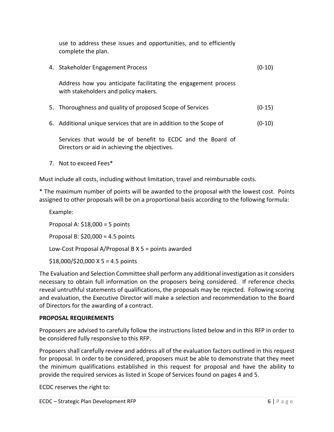use to address these issues and opportunities, and to efficiently complete the plan.

| 4. Stakeholder Engagement Process                                                                      | $(0-10)$ |
|--------------------------------------------------------------------------------------------------------|----------|
| Address how you anticipate facilitating the engagement process<br>with stakeholders and policy makers. |          |
| 5. Thoroughness and quality of proposed Scope of Services                                              | $(0-15)$ |
| 6. Additional unique services that are in addition to the Scope of                                     | $(0-10)$ |
|                                                                                                        |          |

Services that would be of benefit to ECDC and the Board of Directors or aid in achieving the objectives.

7. Not to exceed Fees\*

Must include all costs, including without limitation, travel and reimbursable costs.

\* The maximum number of points will be awarded to the proposal with the lowest cost. Points assigned to other proposals will be on a proportional basis according to the following formula:

Example:

Proposal A: \$18,000 = 5 points Proposal B: \$20,000 = 4.5 points Low-Cost Proposal A/Proposal B X 5 = points awarded  $$18,000$ / $$20,000$  X 5 = 4.5 points

The Evaluation and Selection Committee shall perform any additional investigation as it considers necessary to obtain full information on the proposers being considered. If reference checks reveal untruthful statements of qualifications, the proposals may be rejected. Following scoring and evaluation, the Executive Director will make a selection and recommendation to the Board of Directors for the awarding of a contract.

# **PROPOSAL REQUIREMENTS**

Proposers are advised to carefully follow the instructions listed below and in this RFP in order to be considered fully responsive to this RFP.

Proposers shall carefully review and address all of the evaluation factors outlined in this request for proposal. In order to be considered, proposers must be able to demonstrate that they meet the minimum qualifications established in this request for proposal and have the ability to provide the required services as listed in Scope of Services found on pages 4 and 5.

ECDC reserves the right to: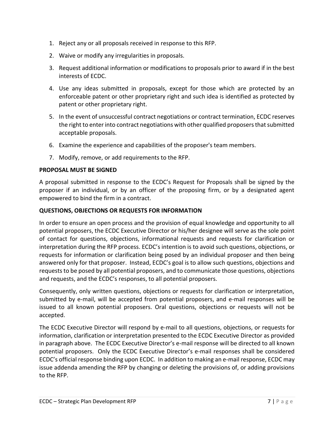- 1. Reject any or all proposals received in response to this RFP.
- 2. Waive or modify any irregularities in proposals.
- 3. Request additional information or modifications to proposals prior to award if in the best interests of ECDC.
- 4. Use any ideas submitted in proposals, except for those which are protected by an enforceable patent or other proprietary right and such idea is identified as protected by patent or other proprietary right.
- 5. In the event of unsuccessful contract negotiations or contract termination, ECDC reserves the right to enter into contract negotiations with other qualified proposers that submitted acceptable proposals.
- 6. Examine the experience and capabilities of the proposer's team members.
- 7. Modify, remove, or add requirements to the RFP.

# **PROPOSAL MUST BE SIGNED**

A proposal submitted in response to the ECDC's Request for Proposals shall be signed by the proposer if an individual, or by an officer of the proposing firm, or by a designated agent empowered to bind the firm in a contract.

### **QUESTIONS, OBJECTIONS OR REQUESTS FOR INFORMATION**

In order to ensure an open process and the provision of equal knowledge and opportunity to all potential proposers, the ECDC Executive Director or his/her designee will serve as the sole point of contact for questions, objections, informational requests and requests for clarification or interpretation during the RFP process. ECDC's intention is to avoid such questions, objections, or requests for information or clarification being posed by an individual proposer and then being answered only for that proposer. Instead, ECDC's goal is to allow such questions, objections and requests to be posed by all potential proposers, and to communicate those questions, objections and requests, and the ECDC's responses, to all potential proposers.

Consequently, only written questions, objections or requests for clarification or interpretation, submitted by e-mail, will be accepted from potential proposers, and e-mail responses will be issued to all known potential proposers. Oral questions, objections or requests will not be accepted.

The ECDC Executive Director will respond by e-mail to all questions, objections, or requests for information, clarification or interpretation presented to the ECDC Executive Director as provided in paragraph above. The ECDC Executive Director's e-mail response will be directed to all known potential proposers. Only the ECDC Executive Director's e-mail responses shall be considered ECDC's official response binding upon ECDC. In addition to making an e-mail response, ECDC may issue addenda amending the RFP by changing or deleting the provisions of, or adding provisions to the RFP.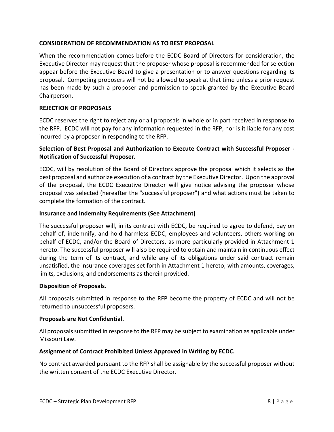# **CONSIDERATION OF RECOMMENDATION AS TO BEST PROPOSAL**

When the recommendation comes before the ECDC Board of Directors for consideration, the Executive Director may request that the proposer whose proposal is recommended for selection appear before the Executive Board to give a presentation or to answer questions regarding its proposal. Competing proposers will not be allowed to speak at that time unless a prior request has been made by such a proposer and permission to speak granted by the Executive Board Chairperson.

### **REJECTION OF PROPOSALS**

ECDC reserves the right to reject any or all proposals in whole or in part received in response to the RFP. ECDC will not pay for any information requested in the RFP, nor is it liable for any cost incurred by a proposer in responding to the RFP.

# **Selection of Best Proposal and Authorization to Execute Contract with Successful Proposer - Notification of Successful Proposer.**

ECDC, will by resolution of the Board of Directors approve the proposal which it selects as the best proposal and authorize execution of a contract by the Executive Director. Upon the approval of the proposal, the ECDC Executive Director will give notice advising the proposer whose proposal was selected (hereafter the "successful proposer") and what actions must be taken to complete the formation of the contract.

## **Insurance and Indemnity Requirements (See Attachment)**

The successful proposer will, in its contract with ECDC, be required to agree to defend, pay on behalf of, indemnify, and hold harmless ECDC, employees and volunteers, others working on behalf of ECDC, and/or the Board of Directors, as more particularly provided in Attachment 1 hereto. The successful proposer will also be required to obtain and maintain in continuous effect during the term of its contract, and while any of its obligations under said contract remain unsatisfied, the insurance coverages set forth in Attachment 1 hereto, with amounts, coverages, limits, exclusions, and endorsements as therein provided.

#### **Disposition of Proposals.**

All proposals submitted in response to the RFP become the property of ECDC and will not be returned to unsuccessful proposers.

#### **Proposals are Not Confidential.**

All proposals submitted in response to the RFP may be subject to examination as applicable under Missouri Law.

# **Assignment of Contract Prohibited Unless Approved in Writing by ECDC.**

No contract awarded pursuant to the RFP shall be assignable by the successful proposer without the written consent of the ECDC Executive Director.